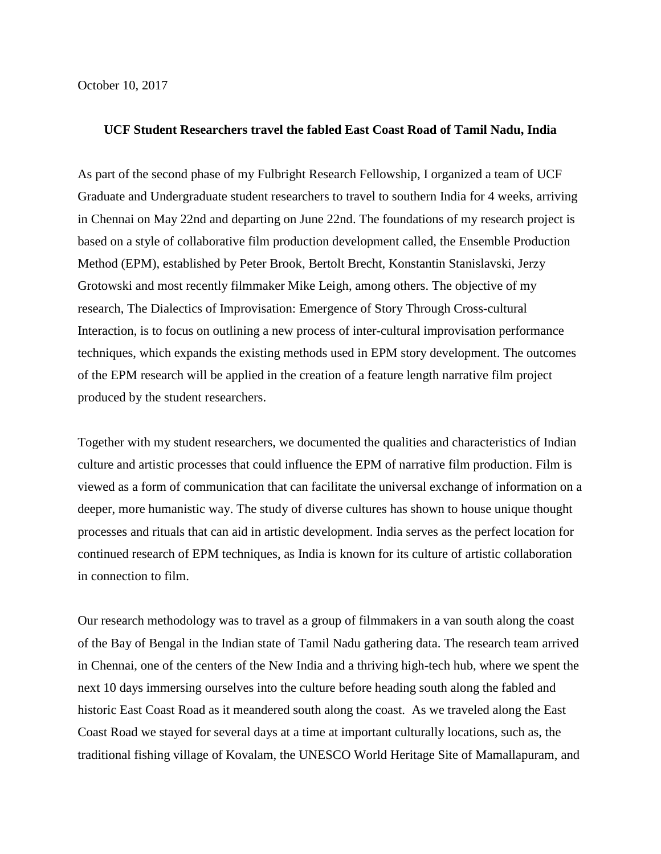October 10, 2017

## **UCF Student Researchers travel the fabled East Coast Road of Tamil Nadu, India**

As part of the second phase of my Fulbright Research Fellowship, I organized a team of UCF Graduate and Undergraduate student researchers to travel to southern India for 4 weeks, arriving in Chennai on May 22nd and departing on June 22nd. The foundations of my research project is based on a style of collaborative film production development called, the Ensemble Production Method (EPM), established by Peter Brook, Bertolt Brecht, Konstantin Stanislavski, Jerzy Grotowski and most recently filmmaker Mike Leigh, among others. The objective of my research, The Dialectics of Improvisation: Emergence of Story Through Cross-cultural Interaction, is to focus on outlining a new process of inter-cultural improvisation performance techniques, which expands the existing methods used in EPM story development. The outcomes of the EPM research will be applied in the creation of a feature length narrative film project produced by the student researchers.

Together with my student researchers, we documented the qualities and characteristics of Indian culture and artistic processes that could influence the EPM of narrative film production. Film is viewed as a form of communication that can facilitate the universal exchange of information on a deeper, more humanistic way. The study of diverse cultures has shown to house unique thought processes and rituals that can aid in artistic development. India serves as the perfect location for continued research of EPM techniques, as India is known for its culture of artistic collaboration in connection to film.

Our research methodology was to travel as a group of filmmakers in a van south along the coast of the Bay of Bengal in the Indian state of Tamil Nadu gathering data. The research team arrived in Chennai, one of the centers of the New India and a thriving high-tech hub, where we spent the next 10 days immersing ourselves into the culture before heading south along the fabled and historic East Coast Road as it meandered south along the coast. As we traveled along the East Coast Road we stayed for several days at a time at important culturally locations, such as, the traditional fishing village of Kovalam, the UNESCO World Heritage Site of Mamallapuram, and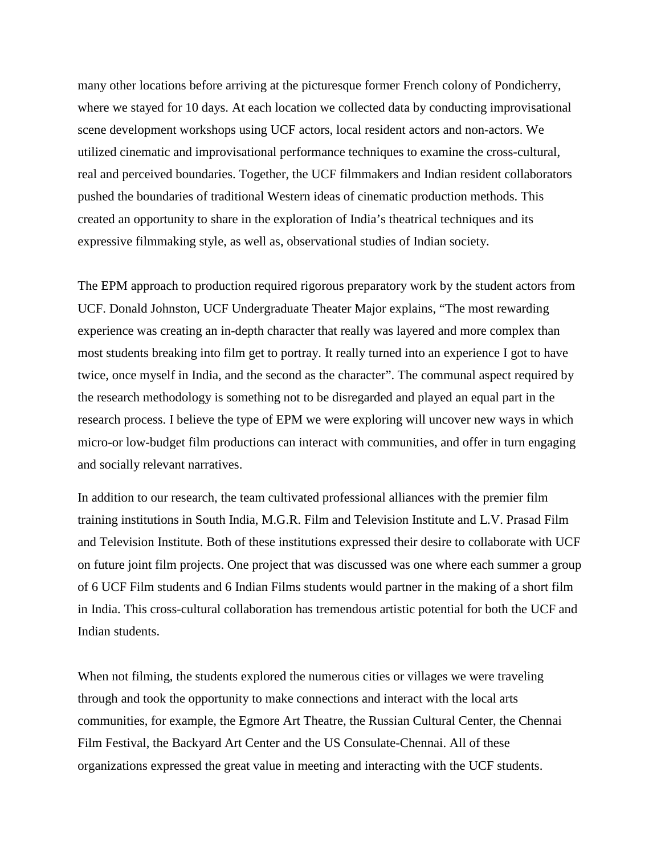many other locations before arriving at the picturesque former French colony of Pondicherry, where we stayed for 10 days. At each location we collected data by conducting improvisational scene development workshops using UCF actors, local resident actors and non-actors. We utilized cinematic and improvisational performance techniques to examine the cross-cultural, real and perceived boundaries. Together, the UCF filmmakers and Indian resident collaborators pushed the boundaries of traditional Western ideas of cinematic production methods. This created an opportunity to share in the exploration of India's theatrical techniques and its expressive filmmaking style, as well as, observational studies of Indian society.

The EPM approach to production required rigorous preparatory work by the student actors from UCF. Donald Johnston, UCF Undergraduate Theater Major explains, "The most rewarding experience was creating an in-depth character that really was layered and more complex than most students breaking into film get to portray. It really turned into an experience I got to have twice, once myself in India, and the second as the character". The communal aspect required by the research methodology is something not to be disregarded and played an equal part in the research process. I believe the type of EPM we were exploring will uncover new ways in which micro-or low-budget film productions can interact with communities, and offer in turn engaging and socially relevant narratives.

In addition to our research, the team cultivated professional alliances with the premier film training institutions in South India, M.G.R. Film and Television Institute and L.V. Prasad Film and Television Institute. Both of these institutions expressed their desire to collaborate with UCF on future joint film projects. One project that was discussed was one where each summer a group of 6 UCF Film students and 6 Indian Films students would partner in the making of a short film in India. This cross-cultural collaboration has tremendous artistic potential for both the UCF and Indian students.

When not filming, the students explored the numerous cities or villages we were traveling through and took the opportunity to make connections and interact with the local arts communities, for example, the Egmore Art Theatre, the Russian Cultural Center, the Chennai Film Festival, the Backyard Art Center and the US Consulate-Chennai. All of these organizations expressed the great value in meeting and interacting with the UCF students.